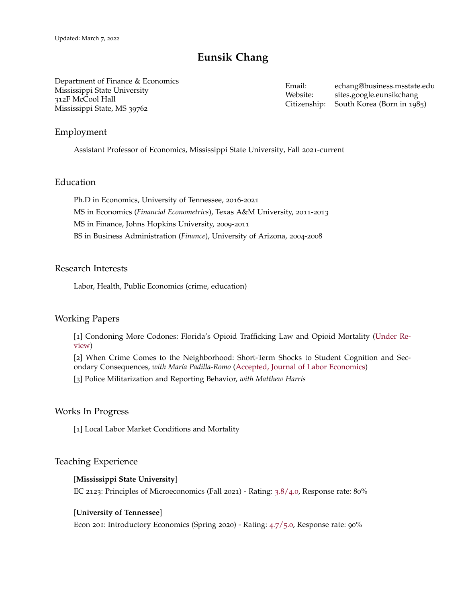# **Eunsik Chang**

Department of Finance & Economics Mississippi State University 312F McCool Hall Mississippi State, MS 39762

Email: [echang@business.msstate.edu](mailto:echang@business.msstate.edu) Website: [sites.google.eunsikchang](https://sites.google.com/site/eunsikchang85/home) Citizenship: South Korea (Born in 1985)

## Employment

**xxxx** Assistant Professor of Economics, Mississippi State University, Fall 2021-current

#### Education

Ph.D in Economics, University of Tennessee, 2016-2021 MS in Economics (*Financial Econometrics*), Texas A&M University, 2011-2013 MS in Finance, Johns Hopkins University, 2009-2011 BS in Business Administration (*Finance*), University of Arizona, 2004-2008

## Research Interests

Labor, Health, Public Economics (crime, education)

#### Working Papers

**xxxx** [1] [Condoning More Codones: Florida's Opioid Trafficking Law and Opioid Mortality](https://drive.google.com/file/d/1l0_ry8kvohmaRAMD9z2DQtMZ6IThcXtK/view?usp=sharing) (Under Review)

[2] [When Crime Comes to the Neighborhood: Short-Term Shocks to Student Cognition and Sec](https://drive.google.com/file/d/1LjAazOrA8MfloOaTs7rn43dBfrfKzwim/view)[ondary Consequences,](https://drive.google.com/file/d/1LjAazOrA8MfloOaTs7rn43dBfrfKzwim/view) *with María Padilla-Romo* (Accepted, Journal of Labor Economics)

[3] Police Militarization and Reporting Behavior, *with Matthew Harris*

#### Works In Progress

[1] Local Labor Market Conditions and Mortality

#### Teaching Experience

#### **xxxx** [**Mississippi State University**]

EC 2123: Principles of Microeconomics (Fall 2021) - Rating: 3.8/4.0, Response rate: 80%

#### [**University of Tennessee**]

Econ 201: Introductory Economics (Spring 2020) - Rating: 4.7/5.0, Response rate: 90%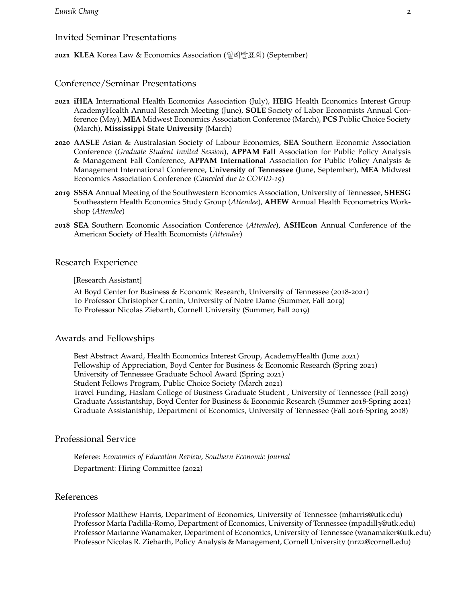## Invited Seminar Presentations

**2021 KLEA** Korea Law & Economics Association (월례발표회) (September)

## Conference/Seminar Presentations

- **2021 iHEA** International Health Economics Association (July), **HEIG** Health Economics Interest Group AcademyHealth Annual Research Meeting (June), **SOLE** Society of Labor Economists Annual Conference (May), **MEA** Midwest Economics Association Conference (March), **PCS** Public Choice Society (March), **Mississippi State University** (March)
- **2020 AASLE** Asian & Australasian Society of Labour Economics, **SEA** Southern Economic Association Conference (*Graduate Student Invited Session*), **APPAM Fall** Association for Public Policy Analysis & Management Fall Conference, **APPAM International** Association for Public Policy Analysis & Management International Conference, **University of Tennessee** (June, September), **MEA** Midwest Economics Association Conference (*Canceled due to COVID-19*)
- **2019 SSSA** Annual Meeting of the Southwestern Economics Association, University of Tennessee, **SHESG** Southeastern Health Economics Study Group (*Attendee*), **AHEW** Annual Health Econometrics Workshop (*Attendee*)
- **2018 SEA** Southern Economic Association Conference (*Attendee*), **ASHEcon** Annual Conference of the American Society of Health Economists (*Attendee*)

## Research Experience

#### [Research Assistant]

At Boyd Center for Business & Economic Research, University of Tennessee (2018-2021) To Professor Christopher Cronin, University of Notre Dame (Summer, Fall 2019) To Professor Nicolas Ziebarth, Cornell University (Summer, Fall 2019)

## Awards and Fellowships

Best Abstract Award, Health Economics Interest Group, AcademyHealth (June 2021) Fellowship of Appreciation, Boyd Center for Business & Economic Research (Spring 2021) University of Tennessee Graduate School Award (Spring 2021) Student Fellows Program, Public Choice Society (March 2021) Travel Funding, Haslam College of Business Graduate Student , University of Tennessee (Fall 2019) Graduate Assistantship, Boyd Center for Business & Economic Research (Summer 2018-Spring 2021) Graduate Assistantship, Department of Economics, University of Tennessee (Fall 2016-Spring 2018)

## Professional Service

**xxxx** Referee: *Economics of Education Review*, *Southern Economic Journal* Department: Hiring Committee (2022)

## References

**xxxx** Professor Matthew Harris, Department of Economics, University of Tennessee [\(mharris@utk.edu\)](mailto:mharris@utk.edu) Professor María Padilla-Romo, Department of Economics, University of Tennessee (mpadill3[@utk.edu\)](mailto:mpadill3@utk.edu) Professor Marianne Wanamaker, Department of Economics, University of Tennessee [\(wanamaker@utk.edu\)](mailto:wanamaker@utk.edu) Professor Nicolas R. Ziebarth, Policy Analysis & Management, Cornell University (nrz2[@cornell.edu\)](mailto:nrz2@cornell.edu)